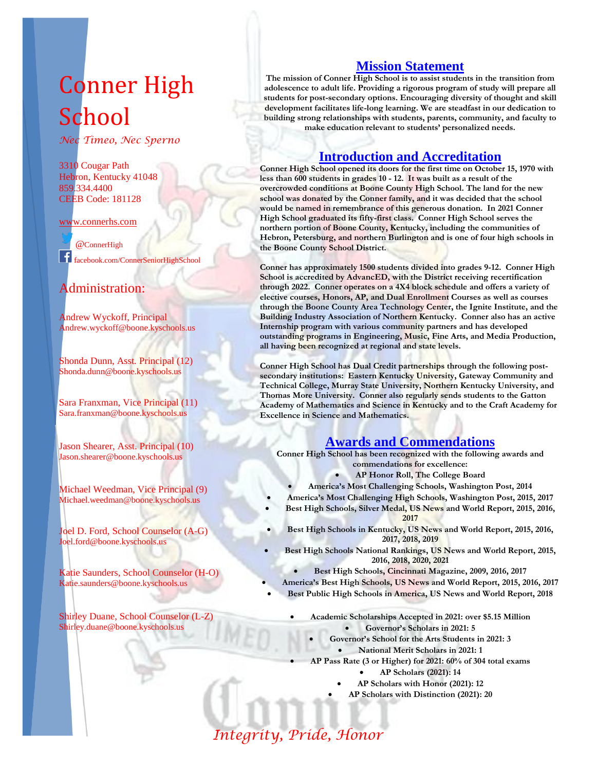# Conner High School

*Nec Timeo, Nec Sperno*

3310 Cougar Path Hebron, Kentucky 41048 859.334.4400 CEEB Code: 181128

#### [www.connerhs.com](http://www.connerhs.com/)

@ConnerHigh facebook.com/ConnerSeniorHighSchool

### Administration:

Andrew Wyckoff, Principal Andrew.wyckoff@boone.kyschools.us

Shonda Dunn, Asst. Principal (12) Shonda.dunn@boone.kyschools.us

Sara Franxman, Vice Principal (11) Sara.franxman@boone.kyschools.us

Jason Shearer, Asst. Principal (10) Jason.shearer@boone.kyschools.us

Michael Weedman, Vice Principal (9) Michael.weedman@boone.kyschools.us

Joel D. Ford, School Counselor (A-G) Joel.ford@boone.kyschools.us

Katie Saunders, School Counselor (H-O) Katie.saunders@boone.kyschools.us

Shirley Duane, School Counselor (L-Z) Shirley.duane@boone.kyschools.us

#### **Mission Statement**

**The mission of Conner High School is to assist students in the transition from adolescence to adult life. Providing a rigorous program of study will prepare all students for post-secondary options. Encouraging diversity of thought and skill development facilitates life-long learning. We are steadfast in our dedication to building strong relationships with students, parents, community, and faculty to make education relevant to students' personalized needs.**

#### **Introduction and Accreditation**

**Conner High School opened its doors for the first time on October 15, 1970 with less than 600 students in grades 10 - 12. It was built as a result of the overcrowded conditions at Boone County High School. The land for the new school was donated by the Conner family, and it was decided that the school would be named in remembrance of this generous donation. In 2021 Conner High School graduated its fifty-first class. Conner High School serves the northern portion of Boone County, Kentucky, including the communities of Hebron, Petersburg, and northern Burlington and is one of four high schools in the Boone County School District.**

**Conner has approximately 1500 students divided into grades 9-12. Conner High School is accredited by AdvancED, with the District receiving recertification through 2022. Conner operates on a 4X4 block schedule and offers a variety of elective courses, Honors, AP, and Dual Enrollment Courses as well as courses through the Boone County Area Technology Center, the Ignite Institute, and the Building Industry Association of Northern Kentucky. Conner also has an active Internship program with various community partners and has developed outstanding programs in Engineering, Music, Fine Arts, and Media Production, all having been recognized at regional and state levels.** 

**Conner High School has Dual Credit partnerships through the following postsecondary institutions: Eastern Kentucky University, Gateway Community and Technical College, Murray State University, Northern Kentucky University, and Thomas More University. Conner also regularly sends students to the Gatton Academy of Mathematics and Science in Kentucky and to the Craft Academy for Excellence in Science and Mathematics.**

#### **Awards and Commendations**

**Conner High School has been recognized with the following awards and commendations for excellence:**

- **AP Honor Roll, The College Board**
- **America's Most Challenging Schools, Washington Post, 2014**
- **America's Most Challenging High Schools, Washington Post, 2015, 2017**
- **Best High Schools, Silver Medal, US News and World Report, 2015, 2016, 2017**
- **Best High Schools in Kentucky, US News and World Report, 2015, 2016, 2017, 2018, 2019**
- **Best High Schools National Rankings, US News and World Report, 2015, 2016, 2018, 2020, 2021**
	- **Best High Schools, Cincinnati Magazine, 2009, 2016, 2017**
- **America's Best High Schools, US News and World Report, 2015, 2016, 2017**
- **Best Public High Schools in America, US News and World Report, 2018**
	- **Academic Scholarships Accepted in 2021: over \$5.15 Million Governor's Scholars in 2021: 5**
		- **Governor's School for the Arts Students in 2021: 3**
			- **National Merit Scholars in 2021: 1**
	- **AP Pass Rate (3 or Higher) for 2021: 60% of 304 total exams**
		- **AP Scholars (2021): 14**
		- **AP Scholars with Honor (2021): 12**
		- **AP Scholars with Distinction (2021): 20**

*Integrity, Pride, Honor*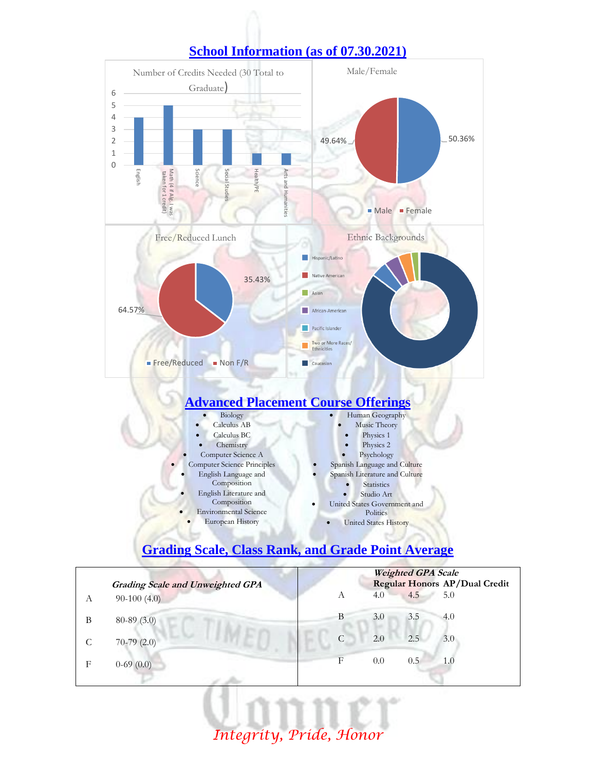

## **School Information (as of 07.30.2021)**

# **Grading Scale, Class Rank, and Grade Point Average**

|   |                                         |            |     | <b>Weighted GPA Scale</b> |                               |
|---|-----------------------------------------|------------|-----|---------------------------|-------------------------------|
|   | <b>Grading Scale and Unweighted GPA</b> |            |     |                           | Regular Honors AP/Dual Credit |
| А | $90-100(4.0)$                           | А          | 4.0 | 4.5                       | 5.0                           |
| В | $80-89(3.0)$                            | B          | 3.0 | 3.5                       | 4.0                           |
|   | $70-79(2.0)$                            | C          | 2.0 | 2.5                       | 3.0                           |
| F | $0-69(0.0)$                             | $_{\rm F}$ | 0.0 | 0.5                       | 1.0                           |
|   |                                         |            |     |                           |                               |

*Integrity, Pride, Honor*